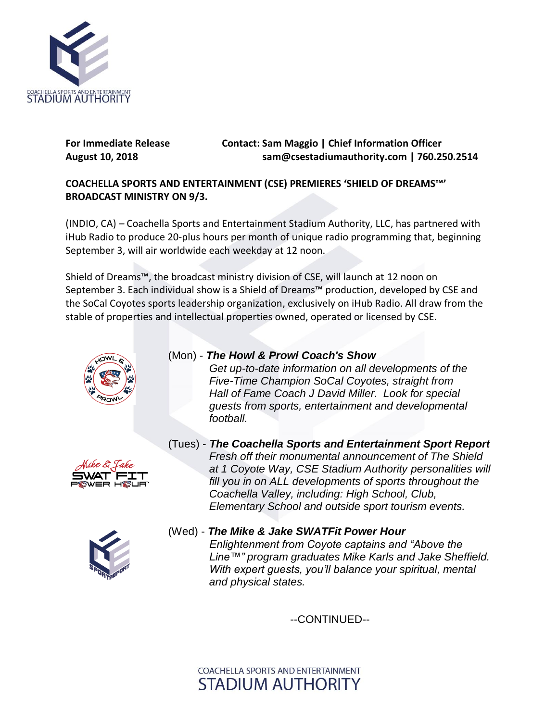

## **For Immediate Release Contact: Sam Maggio | Chief Information Officer August 10, 2018 sam@csestadiumauthority.com | 760.250.2514**

## **COACHELLA SPORTS AND ENTERTAINMENT (CSE) PREMIERES 'SHIELD OF DREAMS™' BROADCAST MINISTRY ON 9/3.**

(INDIO, CA) – Coachella Sports and Entertainment Stadium Authority, LLC, has partnered with iHub Radio to produce 20-plus hours per month of unique radio programming that, beginning September 3, will air worldwide each weekday at 12 noon.

Shield of Dreams™, the broadcast ministry division of CSE, will launch at 12 noon on September 3. Each individual show is a Shield of Dreams™ production, developed by CSE and the SoCal Coyotes sports leadership organization, exclusively on iHub Radio. All draw from the stable of properties and intellectual properties owned, operated or licensed by CSE.



## (Mon) - *The Howl & Prowl Coach's Show*

*Get up-to-date information on all developments of the Five-Time Champion SoCal Coyotes, straight from Hall of Fame Coach J David Miller. Look for special guests from sports, entertainment and developmental football.*



(Tues) - *The Coachella Sports and Entertainment Sport Report Fresh off their monumental announcement of The Shield at 1 Coyote Way, CSE Stadium Authority personalities will fill you in on ALL developments of sports throughout the Coachella Valley, including: High School, Club, Elementary School and outside sport tourism events.*



(Wed) - *The Mike & Jake SWATFit Power Hour Enlightenment from Coyote captains and "Above the Line™" program graduates Mike Karls and Jake Sheffield. With expert guests, you'll balance your spiritual, mental and physical states.*

--CONTINUED--

COACHELLA SPORTS AND ENTERTAINMENT **STADIUM AUTHORITY**